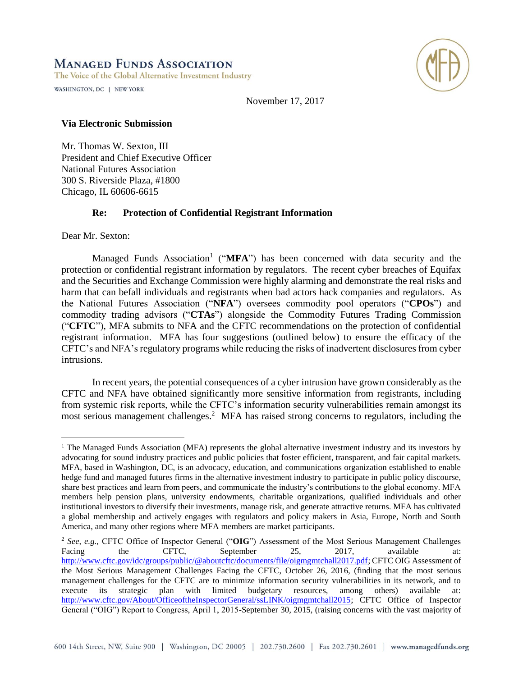# **MANAGED FUNDS ASSOCIATION**

The Voice of the Global Alternative Investment Industry

WASHINGTON, DC | NEW YORK



November 17, 2017

### **Via Electronic Submission**

Mr. Thomas W. Sexton, III President and Chief Executive Officer National Futures Association 300 S. Riverside Plaza, #1800 Chicago, IL 60606-6615

# **Re: Protection of Confidential Registrant Information**

Dear Mr. Sexton:

 $\overline{a}$ 

Managed Funds Association<sup>1</sup> ("MFA") has been concerned with data security and the protection or confidential registrant information by regulators. The recent cyber breaches of Equifax and the Securities and Exchange Commission were highly alarming and demonstrate the real risks and harm that can befall individuals and registrants when bad actors hack companies and regulators. As the National Futures Association ("**NFA**") oversees commodity pool operators ("**CPOs**") and commodity trading advisors ("**CTAs**") alongside the Commodity Futures Trading Commission ("**CFTC**"), MFA submits to NFA and the CFTC recommendations on the protection of confidential registrant information. MFA has four suggestions (outlined below) to ensure the efficacy of the CFTC's and NFA's regulatory programs while reducing the risks of inadvertent disclosures from cyber intrusions.

In recent years, the potential consequences of a cyber intrusion have grown considerably as the CFTC and NFA have obtained significantly more sensitive information from registrants, including from systemic risk reports, while the CFTC's information security vulnerabilities remain amongst its most serious management challenges.<sup>2</sup> MFA has raised strong concerns to regulators, including the

<sup>&</sup>lt;sup>1</sup> The Managed Funds Association (MFA) represents the global alternative investment industry and its investors by advocating for sound industry practices and public policies that foster efficient, transparent, and fair capital markets. MFA, based in Washington, DC, is an advocacy, education, and communications organization established to enable hedge fund and managed futures firms in the alternative investment industry to participate in public policy discourse, share best practices and learn from peers, and communicate the industry's contributions to the global economy. MFA members help pension plans, university endowments, charitable organizations, qualified individuals and other institutional investors to diversify their investments, manage risk, and generate attractive returns. MFA has cultivated a global membership and actively engages with regulators and policy makers in Asia, Europe, North and South America, and many other regions where MFA members are market participants.

<sup>2</sup> *See, e.g.,* CFTC Office of Inspector General ("**OIG**") Assessment of the Most Serious Management Challenges Facing the CFTC, September 25, 2017, available at: [http://www.cftc.gov/idc/groups/public/@aboutcftc/documents/file/oigmgmtchall2017.pdf;](http://www.cftc.gov/idc/groups/public/@aboutcftc/documents/file/oigmgmtchall2017.pdf) CFTC OIG Assessment of the Most Serious Management Challenges Facing the CFTC, October 26, 2016, (finding that the most serious management challenges for the CFTC are to minimize information security vulnerabilities in its network, and to execute its strategic plan with limited budgetary resources, among others) available at: [http://www.cftc.gov/About/OfficeoftheInspectorGeneral/ssLINK/oigmgmtchall2015;](http://www.cftc.gov/About/OfficeoftheInspectorGeneral/ssLINK/oigmgmtchall2015) CFTC Office of Inspector General ("OIG") Report to Congress, April 1, 2015-September 30, 2015, (raising concerns with the vast majority of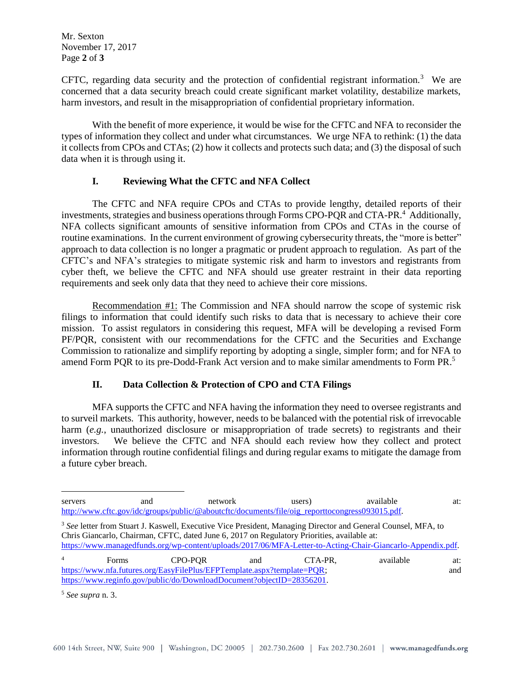Mr. Sexton November 17, 2017 Page **2** of **3**

CFTC, regarding data security and the protection of confidential registrant information.<sup>3</sup> We are concerned that a data security breach could create significant market volatility, destabilize markets, harm investors, and result in the misappropriation of confidential proprietary information.

With the benefit of more experience, it would be wise for the CFTC and NFA to reconsider the types of information they collect and under what circumstances. We urge NFA to rethink: (1) the data it collects from CPOs and CTAs; (2) how it collects and protects such data; and (3) the disposal of such data when it is through using it.

# **I. Reviewing What the CFTC and NFA Collect**

The CFTC and NFA require CPOs and CTAs to provide lengthy, detailed reports of their investments, strategies and business operations through Forms CPO-PQR and CTA-PR.<sup>4</sup> Additionally, NFA collects significant amounts of sensitive information from CPOs and CTAs in the course of routine examinations. In the current environment of growing cybersecurity threats, the "more is better" approach to data collection is no longer a pragmatic or prudent approach to regulation. As part of the CFTC's and NFA's strategies to mitigate systemic risk and harm to investors and registrants from cyber theft, we believe the CFTC and NFA should use greater restraint in their data reporting requirements and seek only data that they need to achieve their core missions.

Recommendation #1: The Commission and NFA should narrow the scope of systemic risk filings to information that could identify such risks to data that is necessary to achieve their core mission. To assist regulators in considering this request, MFA will be developing a revised Form PF/PQR, consistent with our recommendations for the CFTC and the Securities and Exchange Commission to rationalize and simplify reporting by adopting a single, simpler form; and for NFA to amend Form PQR to its pre-Dodd-Frank Act version and to make similar amendments to Form PR. 5

# **II. Data Collection & Protection of CPO and CTA Filings**

MFA supports the CFTC and NFA having the information they need to oversee registrants and to surveil markets. This authority, however, needs to be balanced with the potential risk of irrevocable harm (*e.g.*, unauthorized disclosure or misappropriation of trade secrets) to registrants and their investors. We believe the CFTC and NFA should each review how they collect and protect information through routine confidential filings and during regular exams to mitigate the damage from a future cyber breach.

 $\overline{a}$ servers and network users) available at: [http://www.cftc.gov/idc/groups/public/@aboutcftc/documents/file/oig\\_reporttocongress093015.pdf.](http://www.cftc.gov/idc/groups/public/@aboutcftc/documents/file/oig_reporttocongress093015.pdf) <sup>3</sup> *See* letter from Stuart J. Kaswell, Executive Vice President, Managing Director and General Counsel, MFA, to Chris Giancarlo, Chairman, CFTC, dated June 6, 2017 on Regulatory Priorities, available at: [https://www.managedfunds.org/wp-content/uploads/2017/06/MFA-Letter-to-Acting-Chair-Giancarlo-Appendix.pdf.](https://www.managedfunds.org/wp-content/uploads/2017/06/MFA-Letter-to-Acting-Chair-Giancarlo-Appendix.pdf)  <sup>4</sup> Forms CPO-PQR and CTA-PR, available at: https://www.nfa.futures.org/EasyFilePlus/EFPTemplate.aspx?template=POR; and [https://www.reginfo.gov/public/do/DownloadDocument?objectID=28356201.](https://www.reginfo.gov/public/do/DownloadDocument?objectID=28356201)

<sup>5</sup> *See supra* n. 3.